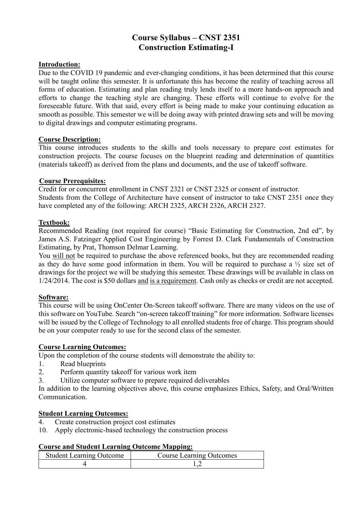# **Course Syllabus – CNST 2351 Construction Estimating-I**

# **Introduction:**

Due to the COVID 19 pandemic and ever-changing conditions, it has been determined that this course will be taught online this semester. It is unfortunate this has become the reality of teaching across all forms of education. Estimating and plan reading truly lends itself to a more hands-on approach and efforts to change the teaching style are changing. These efforts will continue to evolve for the foreseeable future. With that said, every effort is being made to make your continuing education as smooth as possible. This semester we will be doing away with printed drawing sets and will be moving to digital drawings and computer estimating programs.

# **Course Description:**

This course introduces students to the skills and tools necessary to prepare cost estimates for construction projects. The course focuses on the blueprint reading and determination of quantities (materials takeoff) as derived from the plans and documents, and the use of takeoff software.

# **Course Prerequisites:**

Credit for or concurrent enrollment in CNST 2321 or CNST 2325 or consent of instructor. Students from the College of Architecture have consent of instructor to take CNST 2351 once they have completed any of the following: ARCH 2325, ARCH 2326, ARCH 2327.

# **Textbook:**

Recommended Reading (not required for course) "Basic Estimating for Construction, 2nd ed", by James A.S. Fatzinger Applied Cost Engineering by Forrest D. Clark Fundamentals of Construction Estimating, by Prat, Thomson Delmar Learning.

You will not be required to purchase the above referenced books, but they are recommended reading as they do have some good information in them. You will be required to purchase a  $\frac{1}{2}$  size set of drawings for the project we will be studying this semester. These drawings will be available in class on 1/24/2014. The cost is \$50 dollars and is a requirement. Cash only as checks or credit are not accepted.

# **Software:**

This course will be using OnCenter On-Screen takeoff software. There are many videos on the use of this software on YouTube. Search "on-screen takeoff training" for more information. Software licenses will be issued by the College of Technology to all enrolled students free of charge. This program should be on your computer ready to use for the second class of the semester.

# **Course Learning Outcomes:**

Upon the completion of the course students will demonstrate the ability to:

- 1. Read blueprints
- 2. Perform quantity takeoff for various work item
- 3. Utilize computer software to prepare required deliverables

In addition to the learning objectives above, this course emphasizes Ethics, Safety, and Oral/Written Communication.

## **Student Learning Outcomes:**

- 4. Create construction project cost estimates
- 10. Apply electronic-based technology the construction process

### **Course and Student Learning Outcome Mapping:**

| <b>Student Learning Outcome</b> | <b>Course Learning Outcomes</b> |
|---------------------------------|---------------------------------|
|                                 |                                 |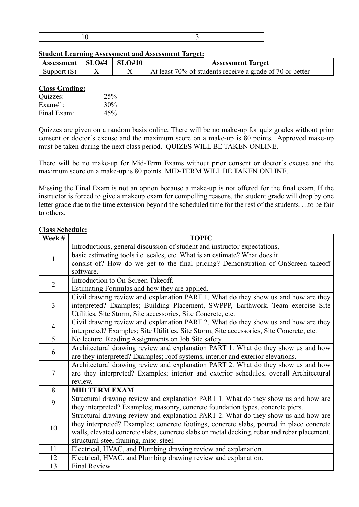|--|

#### **Student Learning Assessment and Assessment Target:**

| $\mid$ Assessment   SLO#4   SLO#10 |  | <b>Assessment Target</b>                                 |
|------------------------------------|--|----------------------------------------------------------|
| Support $(S)$                      |  | At least 70% of students receive a grade of 70 or better |

#### **Class Grading:**

| Quizzes:    | 25% |
|-------------|-----|
| $Exam#1$ :  | 30% |
| Final Exam: | 45% |

Quizzes are given on a random basis online. There will be no make-up for quiz grades without prior consent or doctor's excuse and the maximum score on a make-up is 80 points. Approved make-up must be taken during the next class period. QUIZES WILL BE TAKEN ONLINE.

There will be no make-up for Mid-Term Exams without prior consent or doctor's excuse and the maximum score on a make-up is 80 points. MID-TERM WILL BE TAKEN ONLINE.

Missing the Final Exam is not an option because a make-up is not offered for the final exam. If the instructor is forced to give a makeup exam for compelling reasons, the student grade will drop by one letter grade due to the time extension beyond the scheduled time for the rest of the students….to be fair to others.

# **Class Schedule:**

| Week #         | <b>TOPIC</b>                                                                                |
|----------------|---------------------------------------------------------------------------------------------|
|                | Introductions, general discussion of student and instructor expectations,                   |
|                | basic estimating tools i.e. scales, etc. What is an estimate? What does it                  |
| 1              | consist of? How do we get to the final pricing? Demonstration of OnScreen takeoff           |
|                | software.                                                                                   |
| $\overline{2}$ | Introduction to On-Screen Takeoff.                                                          |
|                | Estimating Formulas and how they are applied.                                               |
| $\overline{3}$ | Civil drawing review and explanation PART 1. What do they show us and how are they          |
|                | interpreted? Examples; Building Placement, SWPPP, Earthwork. Team exercise Site             |
|                | Utilities, Site Storm, Site accessories, Site Concrete, etc.                                |
| $\overline{4}$ | Civil drawing review and explanation PART 2. What do they show us and how are they          |
|                | interpreted? Examples; Site Utilities, Site Storm, Site accessories, Site Concrete, etc.    |
| 5              | No lecture. Reading Assignments on Job Site safety.                                         |
| 6              | Architectural drawing review and explanation PART 1. What do they show us and how           |
|                | are they interpreted? Examples; roof systems, interior and exterior elevations.             |
|                | Architectural drawing review and explanation PART 2. What do they show us and how           |
| 7              | are they interpreted? Examples; interior and exterior schedules, overall Architectural      |
|                | review.                                                                                     |
| 8              | <b>MID TERM EXAM</b>                                                                        |
| 9              | Structural drawing review and explanation PART 1. What do they show us and how are          |
|                | they interpreted? Examples; masonry, concrete foundation types, concrete piers.             |
|                | Structural drawing review and explanation PART 2. What do they show us and how are          |
| 10             | they interpreted? Examples; concrete footings, concrete slabs, poured in place concrete     |
|                | walls, elevated concrete slabs, concrete slabs on metal decking, rebar and rebar placement, |
|                | structural steel framing, misc. steel.                                                      |
| 11             | Electrical, HVAC, and Plumbing drawing review and explanation.                              |
| 12             | Electrical, HVAC, and Plumbing drawing review and explanation.                              |
| 13             | <b>Final Review</b>                                                                         |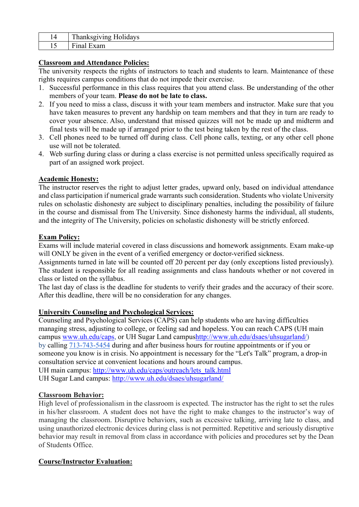| . . | ᠇᠇<br>$- - - -$ |
|-----|-----------------|
| __  | $\sim$<br>--    |

# **Classroom and Attendance Policies:**

The university respects the rights of instructors to teach and students to learn. Maintenance of these rights requires campus conditions that do not impede their exercise.

- 1. Successful performance in this class requires that you attend class. Be understanding of the other members of your team. **Please do not be late to class.**
- 2. If you need to miss a class, discuss it with your team members and instructor. Make sure that you have taken measures to prevent any hardship on team members and that they in turn are ready to cover your absence. Also, understand that missed quizzes will not be made up and midterm and final tests will be made up if arranged prior to the test being taken by the rest of the class.
- 3. Cell phones need to be turned off during class. Cell phone calls, texting, or any other cell phone use will not be tolerated.
- 4. Web surfing during class or during a class exercise is not permitted unless specifically required as part of an assigned work project.

# **Academic Honesty:**

The instructor reserves the right to adjust letter grades, upward only, based on individual attendance and class participation if numerical grade warrants such consideration. Students who violate University rules on scholastic dishonesty are subject to disciplinary penalties, including the possibility of failure in the course and dismissal from The University. Since dishonesty harms the individual, all students, and the integrity of The University, policies on scholastic dishonesty will be strictly enforced.

### **Exam Policy:**

Exams will include material covered in class discussions and homework assignments. Exam make-up will ONLY be given in the event of a verified emergency or doctor-verified sickness.

Assignments turned in late will be counted off 20 percent per day (only exceptions listed previously). The student is responsible for all reading assignments and class handouts whether or not covered in class or listed on the syllabus.

The last day of class is the deadline for students to verify their grades and the accuracy of their score. After this deadline, there will be no consideration for any changes.

### **University Counseling and Psychological Services:**

Counseling and Psychological Services (CAPS) can help students who are having difficulties managing stress, adjusting to college, or feeling sad and hopeless. You can reach CAPS (UH main campus [www.uh.edu/caps,](http://www.uh.edu/caps) or UH Sugar Land campu[shttp://www.uh.edu/dsaes/uhsugarland/\)](http://www.uh.edu/dsaes/uhsugarland/) by calling [713-743-5454](tel:(713)%20743-5454) during and after business hours for routine appointments or if you or someone you know is in crisis. No appointment is necessary for the "Let's Talk" program, a drop-in consultation service at convenient locations and hours around campus.

UH main campus: [http://www.uh.edu/caps/outreach/lets\\_talk.html](http://www.uh.edu/caps/outreach/lets_talk.html)  UH Sugar Land campus: <http://www.uh.edu/dsaes/uhsugarland/>

### **Classroom Behavior:**

High level of professionalism in the classroom is expected. The instructor has the right to set the rules in his/her classroom. A student does not have the right to make changes to the instructor's way of managing the classroom. Disruptive behaviors, such as excessive talking, arriving late to class, and using unauthorized electronic devices during class is not permitted. Repetitive and seriously disruptive behavior may result in removal from class in accordance with policies and procedures set by the Dean of Students Office.

# **Course/Instructor Evaluation:**